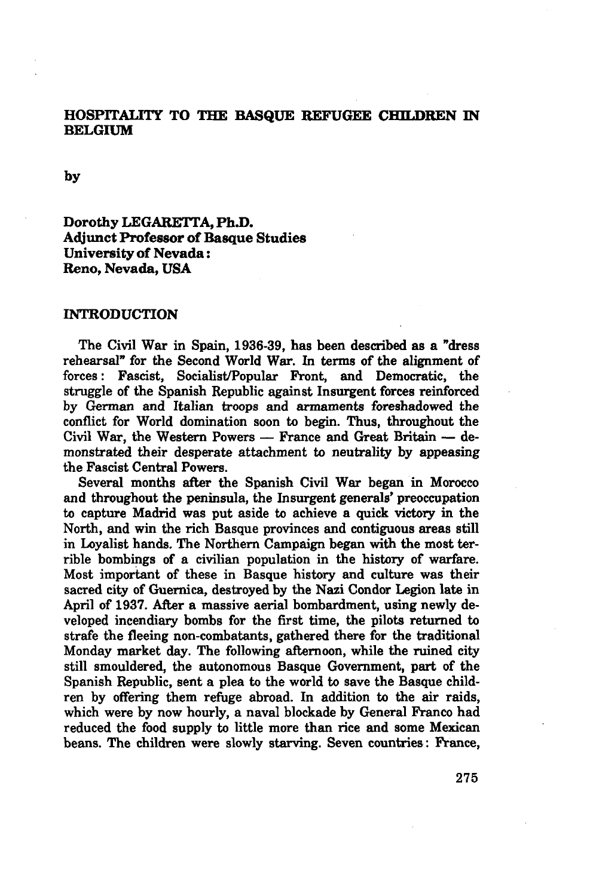### HOSPITALITY TO THE BASQUE REFUGEE CHILDREN IN BELGIUM

**by**

# **Dorothy** LEGARETTA, Ph.D. Adjunct **Professor of Basque Studies** University **of Nevada :** Reno, **Nevada,** USA

#### INTRODUCTION

The Civil War in Spain, 1936-39, has been described as a "dress rehearsal" for the Second World War. In terms of the alignment of forces : Fascist, Socialist/Popular Front, and Democratic, the struggle of the Spanish Republic against Insurgent forces reinforced by German and Italian troops and armaments foreshadowed the conflict for World domination soon to begin. Thus, throughout the Civil War, the Western Powers — France and Great Britain — demonstrated their desperate attachment to neutrality by appeasing the Fascist Central Powers.

Several months after the Spanish Civil War began in Morocco and throughout the peninsula, the Insurgent generals' preoccupation to capture Madrid was put aside to achieve a quick victory in the North, and win the rich Basque provinces and contiguous areas still in Loyalist hands. The Northern Campaign began with the most terrible bombings of a civilian population in the history of warfare. Most important of these in Basque history and culture was their sacred city of Guernica, destroyed by the Nazi Condor Legion late in April of 1937. After a massive aerial bombardment, using newly developed incendiary bombs for the first time, the pilots returned to strafe the fleeing non-combatants, gathered there for the traditional Monday market day. The following afternoon, while the ruined city still smouldered, the autonomous Basque Government, part of the Spanish Republic, sent a plea to the world to save the Basque children by offering them refuge abroad. In addition to the air raids, which were by now hourly, a naval blockade by General Franco had reduced the food supply to little more than rice and some Mexican beans. The children were slowly starving. Seven countries: France,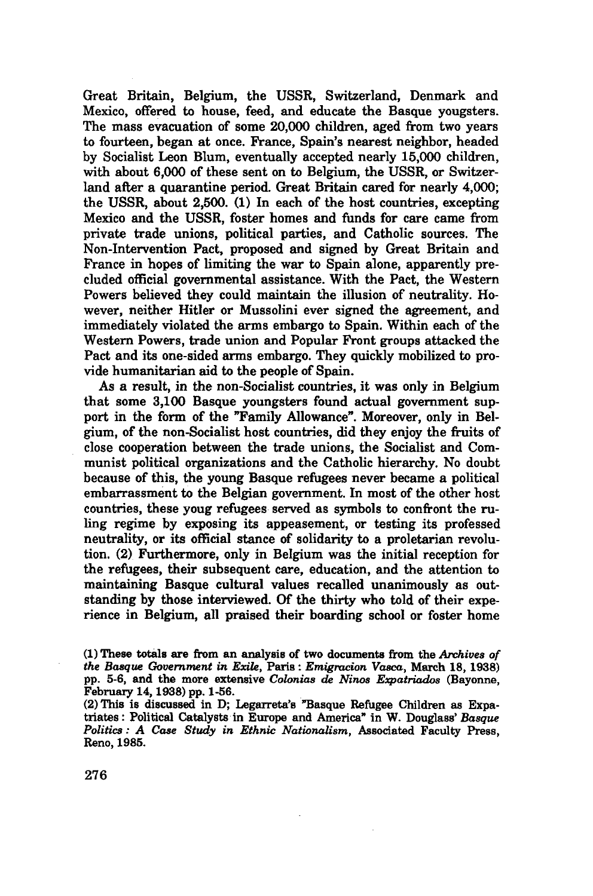Great Britain, Belgium, the USSR, Switzerland, Denmark and Mexico, offered to house, feed, and educate the Basque yougsters. The mass evacuation of some 20,000 children, aged from two years to fourteen, began at once. France, Spain's nearest neighbor, headed by Socialist Leon Blum, eventually accepted nearly 15,000 children, with about 6,000 of these sent on to Belgium, the USSR, or Switzerland after a quarantine period. Great Britain cared for nearly 4,000; the USSR, about 2,500. (1) In each of the host countries, excepting Mexico and the USSR, foster homes and funds for care came from private trade unions, political parties, and Catholic sources. The Non-intervention Pact, proposed and signed by Great Britain and France in hopes of limiting the war to Spain alone, apparently precluded official governmental assistance. With the Pact, the Western Powers believed they could maintain the illusion of neutrality. However, neither Hitler or Mussolini ever signed the agreement, and immediately violated the arms embargo to Spain. Within each of the Western Powers, trade union and Popular Front groups attacked the Pact and its one-sided arms embargo. They quickly mobilized to provide humanitarian aid to the people of Spain.

As a result, in the non-Socialist countries, it was only in Belgium that some 3,100 Basque youngsters found actual government support in the form of the "Family Allowance". Moreover, only in Belgium, of the non-Socialist host countries, did they enjoy the fruits of close cooperation between the trade unions, the Socialist and Communist political organizations and the Catholic hierarchy. No doubt because of this, the young Basque refugees never became a political embarrassment to the Belgian government. In most of the other host countries, these youg refugees served as symbols to confront the ruling regime by exposing its appeasement, or testing its professed neutrality, or its official stance of solidarity to a proletarian revolution. (2) Furthermore, only in Belgium was the initial reception for the refugees, their subsequent care, education, and the attention to maintaining Basque cultural values recalled unanimously as outstanding by those interviewed. Of the thirty who told of their experience in Belgium, all praised their boarding school or foster home

<sup>(1)</sup> These totals are from an analysis of two documents from the *Archives of the Basque Government in Exile,* Paris : *Emigration Vasca,* March 18, 1938) pp. 5-6, and the more extensive *Colonias de Ninos Expatriados* (Bayonne, February 14,1938) pp. 1-56.

<sup>(2)</sup> This is discussed in D; Legarreta's "Basque Refugee Children as Expatriates: Political Catalysts in Europe and America" in W. Douglass' *Basque Politics : A Case Study in Ethnic Nationalism,* Associated Faculty Press, Reno, 1985.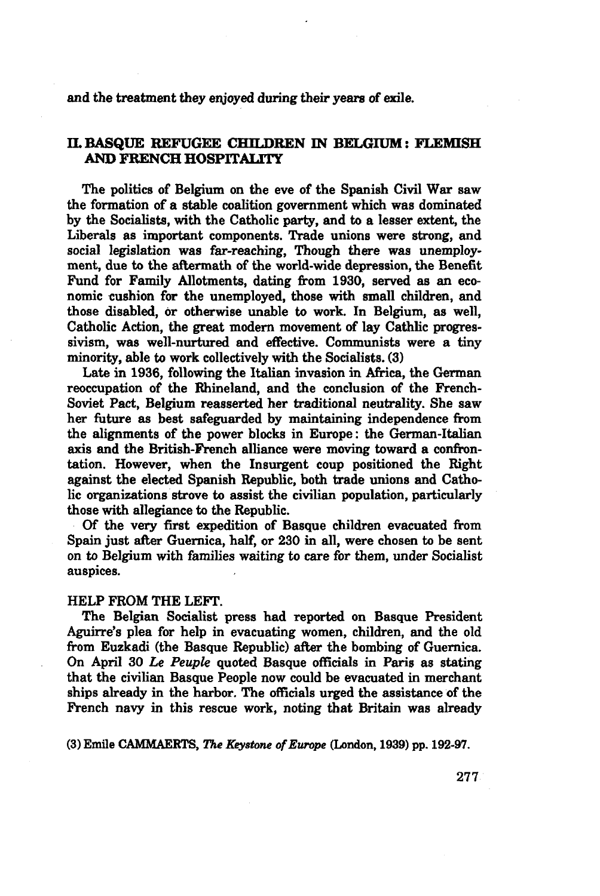### and **the** treatment they enjoyed during their years *of* exile.

## II.**BASQUE** REFUGEE CHILDREN IN BELGIUM: FLEMISH AND FRENCH HOSPITALITY

The politics **of** Belgium on the eve **of** the Spanish Civil War saw the formation **of** a stable coalition government which was dominated **by** the Socialists, with the Catholic party, and **to** a lesser extent, the Liberals as important components. Trade unions were strong, and social legislation was far-reaching, Though there was unemployment, due **to** the aftermath **of** the world-wide depression, the Benefit Fund for Family Allotments, dating from 1930, served as an economic cushion for the unemployed, those with small children, and those disabled, or otherwise unable **to** work. In Belgium, as well, Catholic Action, the great modern movement **of** lay Cathlic progressivism, was well-nurtured and effective. Communists were a tiny minority, able **to** work collectively with the Socialists. (3)

Late in 1936, following the Italian invasion in Africa, the German reoccupation **of** the Rhineland, and the conclusion **of** the French-Soviet Pact, Belgium reasserted her traditional neutrality. She saw her future as best safeguarded **by** maintaining independence from the alignments **of** the power blocks in Europe **:** the German-Italian axis and the British-French alliance were moving toward a confrontation. However, when the Insurgent coup positioned the Right against the elected Spanish Republic, both trade unions and Catholic organizations strove **to** assist the civilian population, particularly those with allegiance **to** the Republic.

Of the very first expedition **of** Basque children evacuated from Spain just after Guernica, half, or **230** in all, were chosen **to** be sent on **to** Belgium with families waiting **to** care for them, under Socialist auspices.

#### HELP FROM THE LEFT.

The Belgian Socialist press had reported on Basque President Aguirre's plea for help in evacuating women, children, and the **old** from Euzkadi (the Basque Republic) after the bombing **of** Guernica. On April **30** *Le Peuple* quoted Basque officials in Paris as stating that the civilian Basque People now could be evacuated in merchant ships already in the harbor. The officials urged the assistance **of** the French navy in this rescue work, noting that Britain was already

(3) Emile CAMMAERTS, *The Keystone of Europe* (London, 1939) pp. 192-97.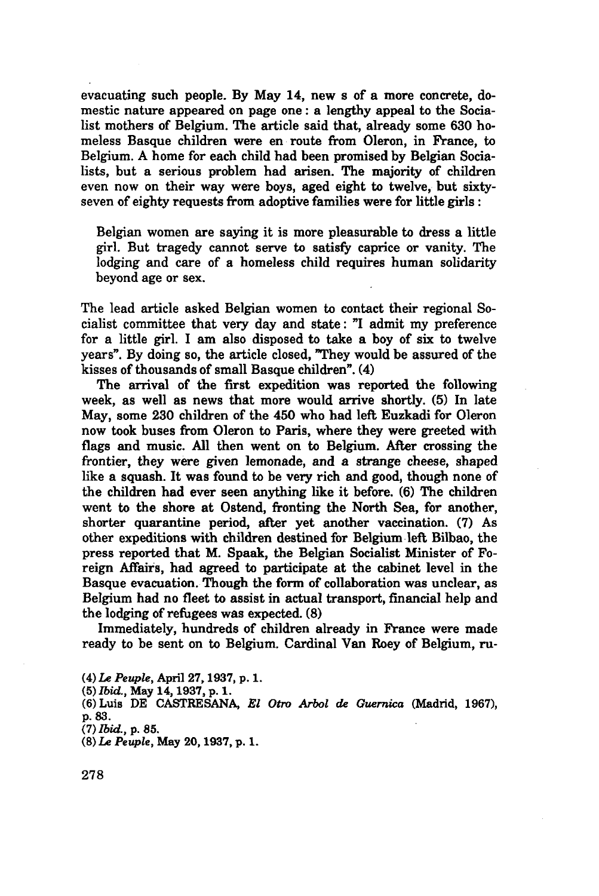evacuating such people. By May 14, new s of a more concrete, domestic nature appeared on page one : a lengthy appeal to the Socialist mothers of Belgium. The article said that, already some 630 homeless Basque children were en route from Oleron, in France, to Belgium. A home for each child had been promised by Belgian Socialists, but a serious problem had arisen. The majority of children even now on their way were boys, aged eight to twelve, but sixtyseven of eighty requests from adoptive families were for little girls :

Belgian women are saying it is more pleasurable to dress a little girl. But tragedy cannot serve to satisfy caprice or vanity. The lodging and care of a homeless child requires human solidarity beyond age or sex.

The lead article asked Belgian women to contact their regional Socialist committee that very day and state: "I admit my preference for a little girl. I am also disposed to take a boy of six to twelve years". By doing so, the article closed, 'They would be assured of the kisses of thousands of small Basque children". (4)

The arrival of the first expedition was reported the following week, as well as news that more would arrive shortly. (5) In late May, some 230 children of the 450 who had left Euzkadi for Oleron now took buses from Oleron to Paris, where they were greeted with flags and music. All then went on to Belgium. After crossing the frontier, they were given lemonade, and a strange cheese, shaped like a squash. It was found to be very rich and good, though none of the children had ever seen anything like it before. (6) The children went to the shore at Ostend, fronting the North Sea, for another, shorter quarantine period, after yet another vaccination. (7) As other expeditions with children destined for Belgium left Bilbao, the press reported that M. Spaak, the Belgian Socialist Minister of Foreign Affairs, had agreed to participate at the cabinet level in the Basque evacuation. Though the form of collaboration was unclear, as Belgium had no fleet to assist in actual transport, financial help and the lodging of refugees was expected. (8)

Immediately, hundreds of children already in France were made ready to be sent on to Belgium. Cardinal Van Roey of Belgium, ru-

- (4) Le *Peuple,* April 27,1937, p. 1.
- (5) *Ibid.,* May 14,1937, p. 1.
- (6) Luis DE CASTRESANA, *El Otro Arbol de Guernica* (Madrid, 1967), p. 83.
- *(7) Ibid.,* p. 85.
- (8) *Le Peuple,* May 20,1937, p. 1.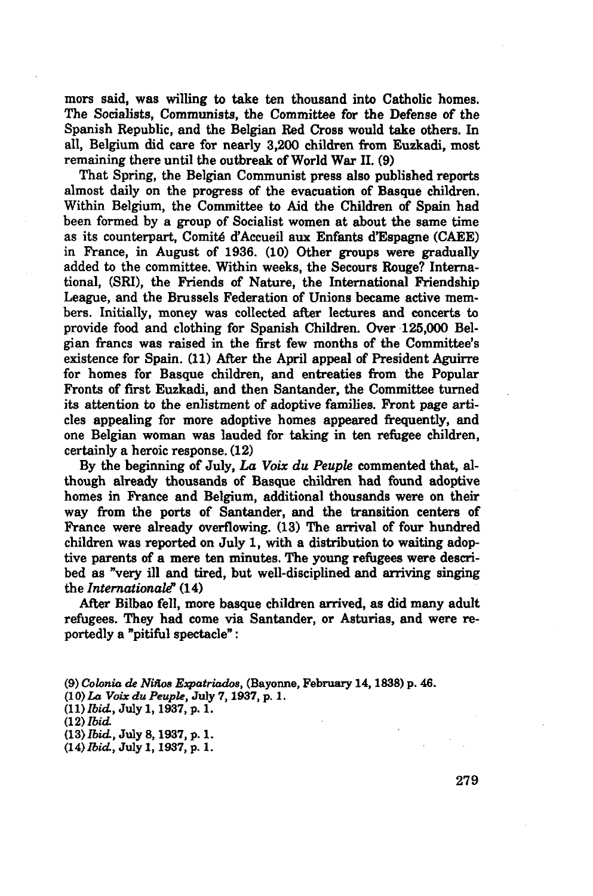mors said, was willing to take ten thousand into Catholic homes. The Socialists, Communists, the Committee for the Defense of the Spanish Republic, and the Belgian Red Cross would take others. In all, Belgium did care for nearly 3,200 children from Euzkadi, most remaining there until the outbreak of World War II. (9)

That Spring, the Belgian Communist press also published reports almost daily on the progress of the evacuation of Basque children. Within Belgium, the Committee to Aid the Children of Spain had been formed by a group of Socialist women at about the same time as its counterpart, Comité d'Accueil aux Enfants d'Espagne (CAEE) in France, in August of 1936. (10) Other groups were gradually added to the committee. Within weeks, the Secours Rouge? International, (SRI), the Friends of Nature, the International Friendship League, and the Brussels Federation of Unions became active members. Initially, money was collected after lectures and concerts to provide food and clothing for Spanish Children. Over 125,000 Belgian francs was raised in the first few months of the Committee's existence for Spain. (11) After the April appeal of President Aguirre for homes for Basque children, and entreaties from the Popular Fronts of first Euzkadi, and then Santander, the Committee turned its attention to the enlistment of adoptive families. Front page articles appealing for more adoptive homes appeared frequently, and one Belgian woman was lauded for taking in ten refugee children, certainly a heroic response. (12)

By the beginning of July, *La Voix du Peuple* commented that, although already thousands of Basque children had found adoptive homes in France and Belgium, additional thousands were on their way from the ports of Santander, and the transition centers of France were already overflowing. (13) The arrival of four hundred children was reported on July 1, with a distribution to waiting adoptive parents of a mere ten minutes. The young refugees were described as "very ill and tired, but well-disciplined and arriving singing the *Internationale'* (14)

After Bilbao fell, more basque children arrived, as did many adult refugees. They had come via Santander, or Asturias, and were reportedly a "pitiful spectacle" :

(9) *Colonia de Niüos Expatriados,* (Bayonne, February 14,1838) p. 46. (10) *La Voix du Peuple,* July 7,1937, p. **1**. (11) *Ibid,* July 1,1937, p. 1. (12) *Ibid* (13) *Ibid,* July 8,1937, p. **1**. (14) *Ibid,* July 1,1937, p. **1**.

279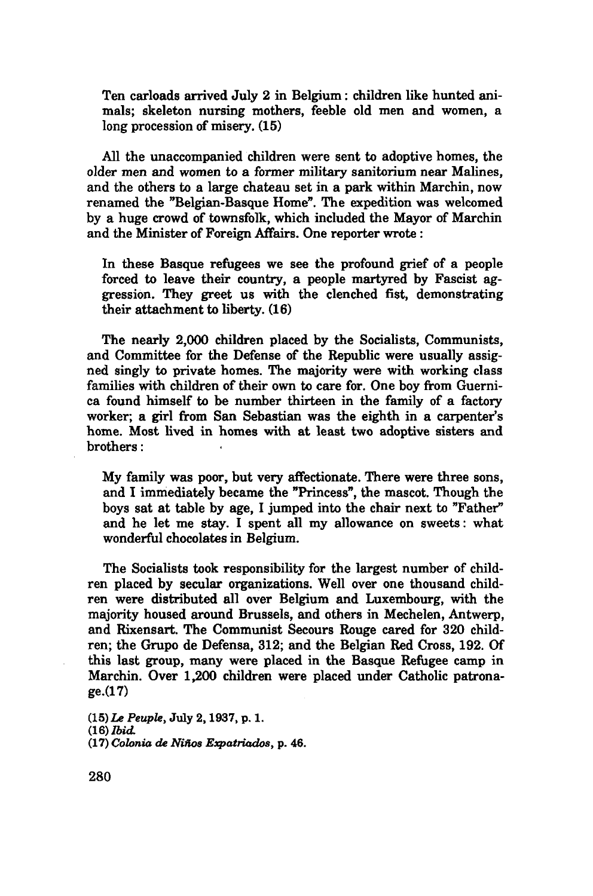Ten carloads arrived July 2 in Belgium : children like hunted animals; skeleton nursing mothers, feeble old men and women, a long procession of misery.  $(15)$ 

All the unaccompanied children were sent to adoptive homes, the older men and women to a former military sanitorium near Malines, and the others to a large chateau set in a park within Marchin, now renamed the "Belgian-Basque Home". The expedition was welcomed by a huge crowd of townsfolk, which included the Mayor of Marchin and the Minister of Foreign Affairs. One reporter wrote :

In these Basque refugees we see the profound grief of a people forced to leave their country, a people martyred by Fascist aggression. They greet us with the clenched fist, demonstrating their attachment to liberty. (16)

The nearly 2,000 children placed by the Socialists, Communists, and Committee for the Defense of the Republic were usually assigned singly to private homes. The majority were with working class families with children of their own to care for. One boy from Guernica found himself to be number thirteen in the family of a factory worker; a girl from San Sebastian was the eighth in a carpenter's home. Most lived in homes with at least two adoptive sisters and brothers :

My family was poor, but very affectionate. There were three sons, and I immediately became the "Princess", the mascot. Though the boys sat at table by age, I jumped into the chair next to "Father" and he let me stay. I spent all my allowance on sweets: what wonderful chocolates in Belgium.

The Socialists took responsibility for the largest number of children placed by secular organizations. Well over one thousand children were distributed all over Belgium and Luxembourg, with the majority housed around Brussels, and others in Mechelen, Antwerp, and Rixensart. The Communist Secours Rouge cared for 320 children; the Grupo de Defensa, 312; and the Belgian Red Cross, 192. Of this last group, many were placed in the Basque Refugee camp in Marchin. Over 1,200 children were placed under Catholic patronage.(17)

(15) **Le** *Peuple,* July 2,1937, p. **1.** *0.S) Ibid.* (17) *Colonia de Ninos Expatriados,* p. 46.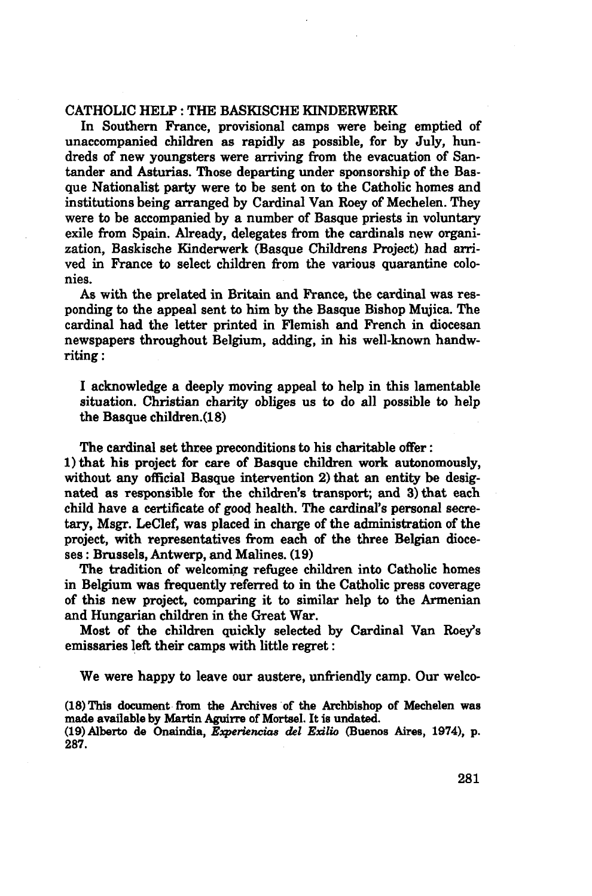### CATHOLIC HELP : THE BASKISCHE KINDERWERK

In Southern France, provisional camps were being emptied of unaccompanied children as rapidly as possible, for by July, hundreds of new youngsters were arriving from the evacuation of Santander and Asturias. Those departing under sponsorship of the Basque Nationalist party were to be sent on to the Catholic homes and institutions being arranged by Cardinal Van Roey of Mechelen. They were to be accompanied by a number of Basque priests in voluntary exile from Spain. Already, delegates from the cardinals new organization, Baskische Kinderwerk (Basque Childrens Project) had arrived in France to select children from the various quarantine colonies.

As with the prelated in Britain and France, the cardinal was responding to the appeal sent to him by the Basque Bishop Mujica. The cardinal had the letter printed in Flemish and French in diocesan newspapers throughout Belgium, adding, in his well-known handwriting :

I acknowledge a deeply moving appeal to help in this lamentable situation. Christian charity obliges us to do all possible to help the Basque children. (18)

The cardinal set three preconditions to his charitable offer :

1) that his project for care of Basque children work autonomously, without any official Basque intervention 2) that an entity be designated as responsible for the children's transport; and 3) that each child have a certificate of good health. The cardinal's personal secretary, Msgr. LeClef, was placed in charge of the administration of the project, with representatives from each of the three Belgian dioceses : Brussels, Antwerp, and Malines. (19)

The tradition of welcoming refugee children into Catholic homes in Belgium was frequently referred to in the Catholic press coverage of this new project, comparing it to similar help to the Armenian and Hungarian children in the Great War.

Most of the children quickly selected by Cardinal Van Roey's emissaries left their camps with little regret :

We were happy to leave our austere, unfriendly camp. Our welco-

(18) This document from the Archives of the Archbishop of Mechelen was made available by Martin Aguirre of Mortsel. It is undated.

(19) Alberto de Onaindia, *Experiencias del Exilio* (Buenos Aires, 1974), p. 287.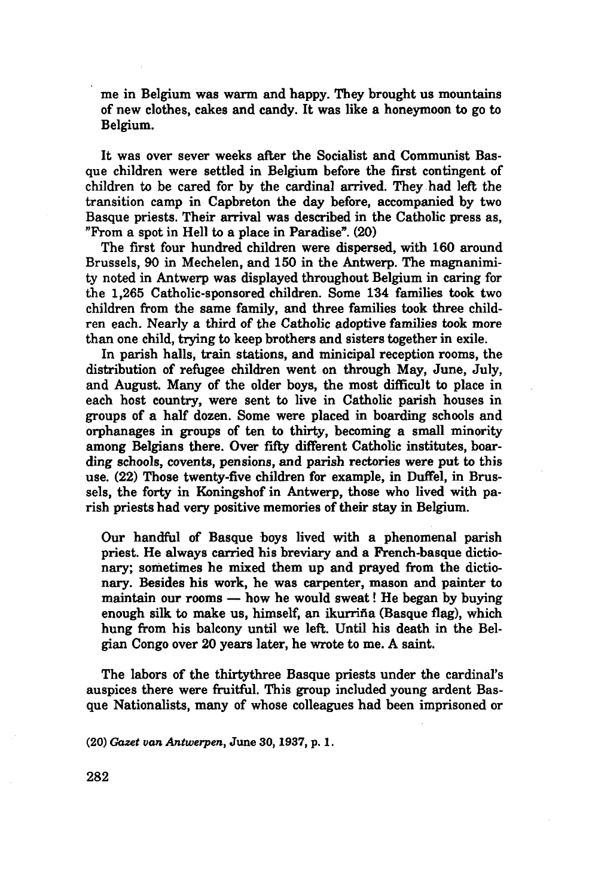me in Belgium was warm and happy. They brought us mountains of new clothes, cakes and candy. It was like a honeymoon to go to Belgium.

It was over sever weeks after the Socialist and Communist Basque children were settled in Belgium before the first contingent of children to be cared for by the cardinal arrived. They had left the transition camp in Capbreton the day before, accompanied by two Basque priests. Their arrival was described in the Catholic press as, "From a spot in Hell to a place in Paradise". (20)

The first four hundred children were dispersed, with 160 around Brussels, 90 in Mechelen, and 150 in the Antwerp. The magnanimity noted in Antwerp was displayed throughout Belgium in caring for the 1,265 Catholic-sponsored children. Some 134 families took two children from the same family, and three families took three children each. Nearly a third of the Catholic adoptive families took more than one child, trying to keep brothers and sisters together in exile.

In parish halls, train stations, and minicipal reception rooms, the distribution of refugee children went on through May, June, July, and August. Many of the older boys, the most difficult to place in each host country, were sent to live in Catholic parish houses in groups of a half dozen. Some were placed in boarding schools and orphanages in groups of ten to thirty, becoming a small minority among Belgians there. Over fifty different Catholic institutes, boarding schools, covents, pensions, and parish rectories were put to this use. (22) Those twenty-five children for example, in Duffel, in Brussels, the forty in Koningshof in Antwerp, those who lived with parish priests had very positive memories of their stay in Belgium.

Our handful of Basque boys lived with a phenomenal parish priest. He always carried his breviary and a French-basque dictionary; sometimes he mixed them up and prayed from the dictionary. Besides his work, he was carpenter, mason and painter to maintain our rooms — how he would sweat ! He began by buying enough silk to make us, himself, an ikurrifia (Basque flag), which hung from his balcony until we left. Until his death in the Belgian Congo over 20 years later, he wrote to me. A saint.

The labors of the thirtythree Basque priests under the cardinal's auspices there were fruitful. This group included young ardent Basque Nationalists, many of whose colleagues had been imprisoned or

(20) *Gazet van Antwerpen,* June 30,1937, p. 1.

282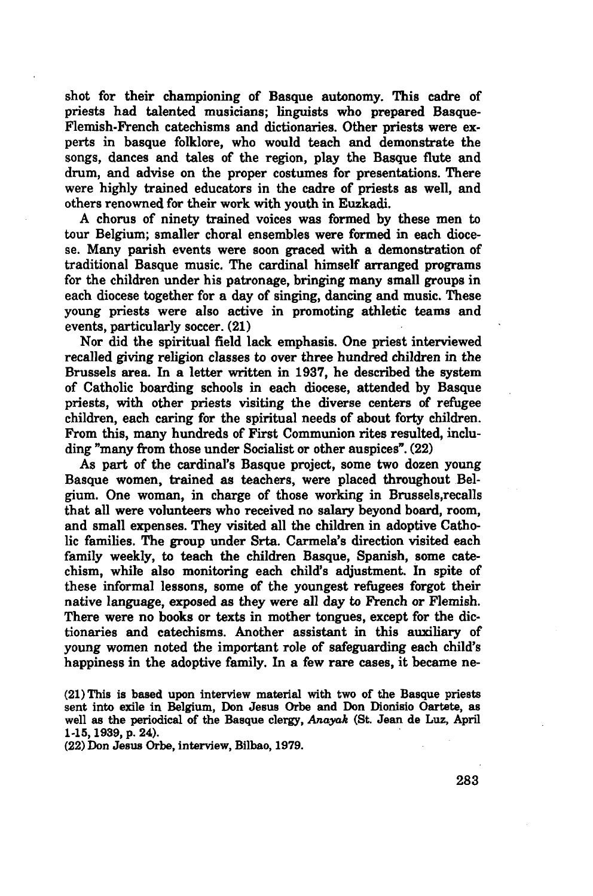shot for their championing of Basque autonomy. This cadre of priests had talented musicians; linguists who prepared Basque-Flemish-French catechisms and dictionaries. Other priests were experts in basque folklore, who would teach and demonstrate the songs, dances and tales of the region, play the Basque flute and drum, and advise on the proper costumes for presentations. There were highly trained educators in the cadre of priests as well, and others renowned for their work with youth in Euzkadi.

A chorus of ninety trained voices was formed by these men to tour Belgium; smaller choral ensembles were formed in each diocese. Many parish events were soon graced with a demonstration of traditional Basque music. The cardinal himself arranged programs for the children under his patronage, bringing many small groups in each diocese together for a day of singing, dancing and music. These young priests were also active in promoting athletic teams and events, particularly soccer. (21)

Nor did the spiritual field lack emphasis. One priest interviewed recalled giving religion classes to over three hundred children in the Brussels area. In a letter written in 1937, he described the system of Catholic boarding schools in each diocese, attended by Basque priests, with other priests visiting the diverse centers of refugee children, each caring for the spiritual needs of about forty children. From this, many hundreds of First Communion rites resulted, including "many from those under Socialist or other auspices". (22)

As part of the cardinal's Basque project, some two dozen young Basque women, trained as teachers, were placed throughout Belgium. One woman, in charge of those working in Brussels,recalls that all were volunteers who received no salary beyond board, room, and small expenses. They visited all the children in adoptive Catholic families. The group under Srta. Carmela's direction visited each family weekly, to teach the children Basque, Spanish, some catechism, while also monitoring each child's adjustment. In spite of these informal lessons, some of the youngest refugees forgot their native language, exposed as they were all day to French or Flemish. There were no books or texts in mother tongues, except for the dictionaries and catechisms. Another assistant in this auxiliary of young women noted the important role of safeguarding each child's happiness in the adoptive family. In a few rare cases, it became ne-

(21) This is based upon interview material with two of the Basque priests sent into exile in Belgium, Don Jesus Orbe and Don Dionisio Oartete, as well as the periodical of the Basque clergy, *Anayak* (St. Jean de Luz, April 1-15,1939, p. 24).

(22) Don Jesus Orbe, interview, Bilbao, 1979.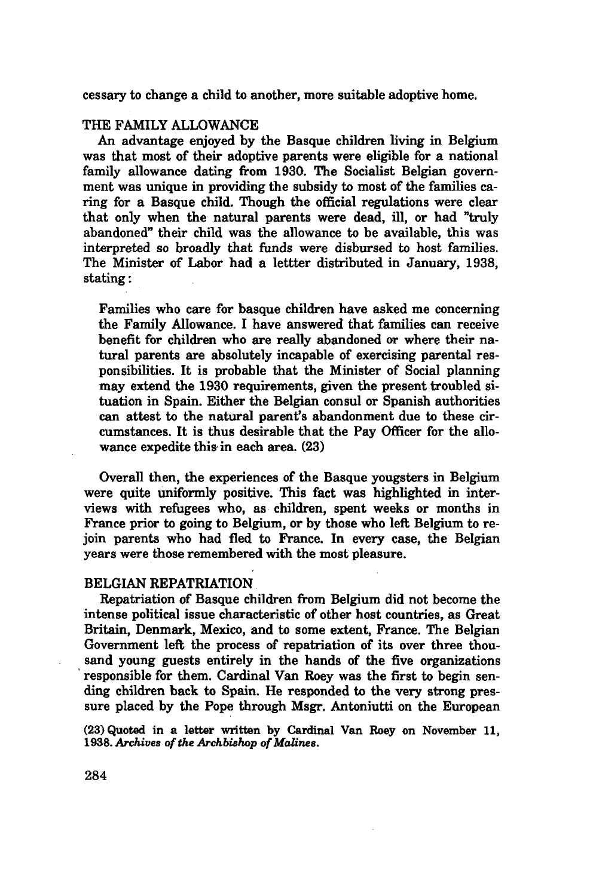cessary to change a child to another, more suitable adoptive home.

### THE FAMILY ALLOWANCE

An advantage enjoyed by the Basque children living in Belgium was that most of their adoptive parents were eligible for a national family allowance dating from 1930. The Socialist Belgian government was unique in providing the subsidy to most of the families caring for a Basque child. Though the official regulations were clear that only when the natural parents were dead, ill, or had "truly abandoned" their child was the allowance to be available, this was interpreted so broadly that funds were disbursed to host families. The Minister of Labor had a lettter distributed in January, 1938, stating :

Families who care for basque children have asked me concerning the Family Allowance. I have answered that families can receive benefit for children who are really abandoned or where their natural parents are absolutely incapable of exercising parental responsibilities. It is probable that the Minister of Social planning may extend the 1930 requirements, given the present troubled situation in Spain. Either the Belgian consul or Spanish authorities can attest to the natural parent's abandonment due to these circumstances. It is thus desirable that the Pay Officer for the allowance expedite this in each area.  $(23)$ 

Overall then, the experiences of the Basque yougsters in Belgium were quite uniformly positive. This fact was highlighted in interviews with refugees who, as children, spent weeks or months in France prior to going to Belgium, or by those who left Belgium to rejoin parents who had fled to France. In every case, the Belgian years were those remembered with the most pleasure.

#### BELGIAN REPATRIATION

Repatriation of Basque children from Belgium did not become the intense political issue characteristic of other host countries, as Great Britain, Denmark, Mexico, and to some extent, France. The Belgian Government left the process of repatriation of its over three thousand young guests entirely in the hands of the five organizations responsible for them. Cardinal Van Roey was the first to begin sending children back to Spain. He responded to the very strong pressure placed by the Pope through Msgr. Antoniutti on the European

(23) Quoted in a letter written by Cardinal Van Roey on November 11, 1938. *Archives of the Archbishop of Malines.*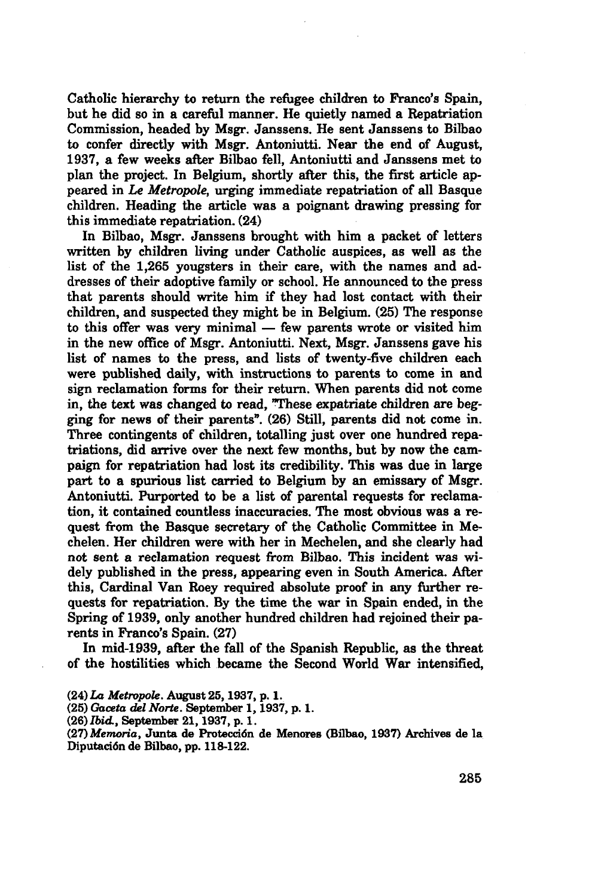Catholic hierarchy to return the refugee children to Franco's Spain, but he did so in a careful manner. He quietly named a Repatriation Commission, headed by Msgr. Janssens. He sent Janssens to Bilbao to confer directly with Msgr. Antoniutti. Near the end of August, 1937, a few weeks after Bilbao fell, Antoniutti and Janssens met to plan the project. In Belgium, shortly after this, the first article appeared in *Le Métropole,* urging immediate repatriation of all Basque children. Heading the article was a poignant drawing pressing for this immediate repatriation. (24)

In Bilbao, Msgr. Janssens brought with him a packet of letters written by children living under Catholic auspices, as well as the list of the 1,265 yougsters in their care, with the names and addresses of their adoptive family or school. He announced to the press that parents should write him if they had lost contact with their children, and suspected they might be in Belgium. (25) The response to this offer was very minimal — few parents wrote or visited him in the new office of Msgr. Antoniutti. Next, Msgr. Janssens gave his list of names to the press, and lists of twenty-five children each were published daily, with instructions to parents to come in and sign reclamation forms for their return. When parents did not come in, the text was changed to read, These expatriate children are begging for news of their parents". (26) Still, parents did not come in. Three contingents of children, totalling just over one hundred repatriations, did arrive over the next few months, but by now the campaign for repatriation had lost its credibility. This was due in large part to a spurious list carried to Belgium by an emissary of Msgr. Antoniutti. Purported to be a list of parental requests for reclamation, it contained countless inaccuracies. The most obvious was a request from the Basque secretary of the Catholic Committee in Mechelen. Her children were with her in Mechelen, and she clearly had not sent a reclamation request from Bilbao. This incident was widely published in the press, appearing even in South America. After this, Cardinal Van Roey required absolute proof in any further requests for repatriation. By the time the war in Spain ended, in the Spring of 1939, only another hundred children had rejoined their parents in Franco's Spain. (27)

In mid-1939, after the fall of the Spanish Republic, as the threat of the hostilities which became the Second World War intensified,

(25) *Gaceta del Norte.* September **1,**1937, p. **1.**

(27) *Memoria,* Junta de Protección de Menores (Bilbao, 1937) Archives de la Diputaciónde Bilbao, pp. 118-122.

<sup>(24)</sup> *La Metropole.* August 25,1937, p. 1.

<sup>(26)</sup> *Ibid,* September 21,1937, p. 1.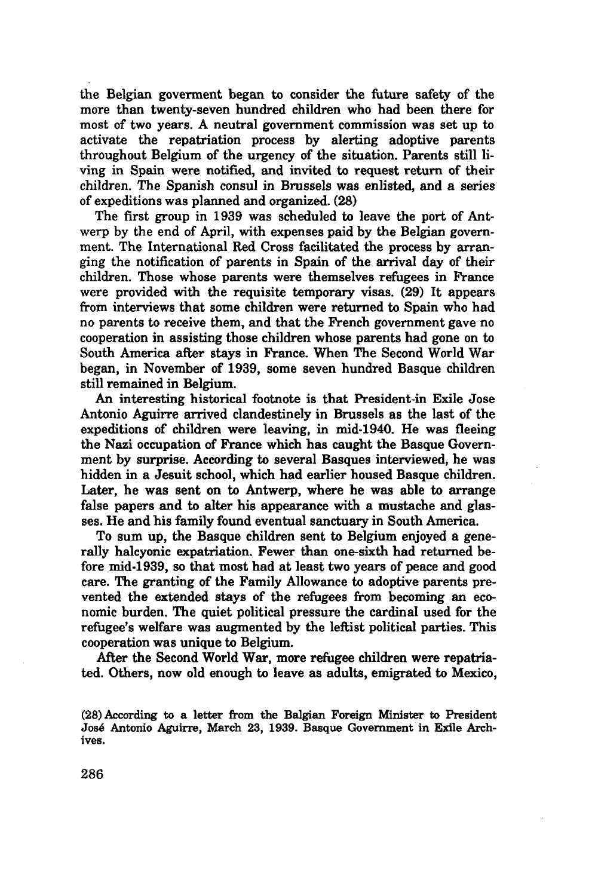the Belgian goverment began to consider the future safety of the more than twenty-seven hundred children who had been there for most of two years. A neutral government commission was set up to activate the repatriation process by alerting adoptive parents throughout Belgium of the urgency of the situation. Parents still living in Spain were notified, and invited to request return of their children. The Spanish consul in Brussels was enlisted, and a series of expeditions was planned and organized. (28)

The first group in 1939 was scheduled to leave the port of Antwerp by the end of April, with expenses paid by the Belgian government. The International Red Cross facilitated the process by arranging the notification of parents in Spain of the arrival day of their children. Those whose parents were themselves refugees in Prance were provided with the requisite temporary visas. (29) It appears from interviews that some children were returned to Spain who had no parents to receive them, and that the French government gave no cooperation in assisting those children whose parents had gone on to South America after stays in France. When The Second World War began, in November of 1939, some seven hundred Basque children still remained in Belgium.

An interesting historical footnote is that President-in Exile Jose Antonio Aguirre arrived clandestinely in Brussels as the last of the expeditions of children were leaving, in mid-1940. He was fleeing the Nazi occupation of France which has caught the Basque Government by surprise. According to several Basques interviewed, he was hidden in a Jesuit school, which had earlier housed Basque children. Later, he was sent on to Antwerp, where he was able to arrange false papers and to alter his appearance with a mustache and glasses. He and his family found eventual sanctuary in South America.

To sum up, the Basque children sent to Belgium enjoyed a generally halcyonic expatriation. Fewer than one-sixth had returned before mid-1939, so that most had at least two years of peace and good care. The granting of the Family Allowance to adoptive parents prevented the extended stays of the refugees from becoming an economic burden. The quiet political pressure the cardinal used for the refugee's welfare was augmented by the leftist political parties. This cooperation was unique to Belgium.

After the Second World War, more refugee children were repatriated. Others, now old enough to leave as adults, emigrated to Mexico,

<sup>(28)</sup> According to a letter from the Balgian Foreign Minister to President José Antonio Aguirre, March 23, 1939. Basque Government in Exile Archives.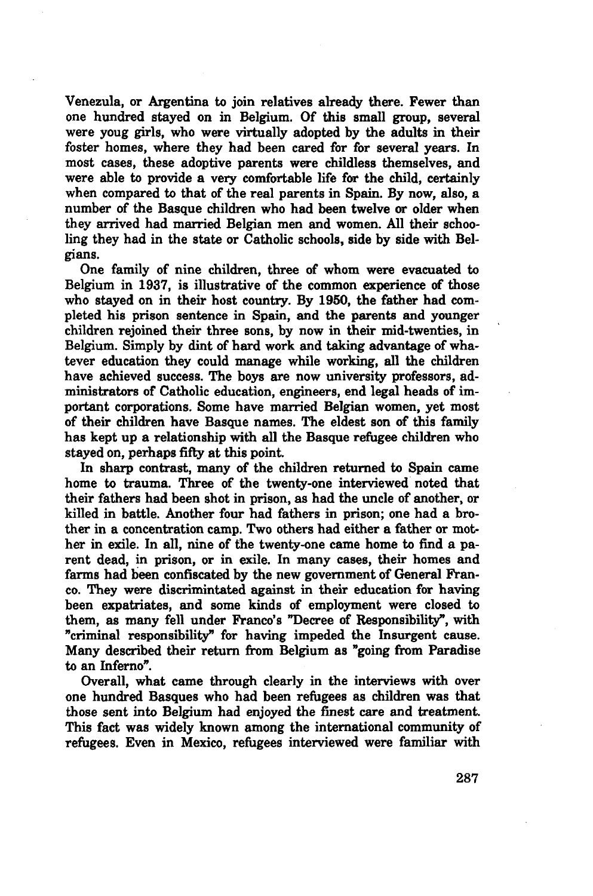Venezula, or Argentina to join relatives already there. Fewer than one hundred stayed on in Belgium. Of this small group, several were youg girls, who were virtually adopted by the adults in their foster homes, where they had been cared for for several years. In most cases, these adoptive parents were childless themselves, and were able to provide a very comfortable life for the child, certainly when compared to that of the real parents in Spain. By now, also, a number of the Basque children who had been twelve or older when they arrived had married Belgian men and women. All their schooling they had in the state or Catholic schools, side by side with Belgians.

One family of nine children, three of whom were evacuated to Belgium in 1937, is illustrative of the common experience of those who stayed on in their host country. By 1950, the father had completed his prison sentence in Spain, and the parents and younger children rejoined their three sons, by now in their mid-twenties, in Belgium. Simply by dint of hard work and taking advantage of whatever education they could manage while working, all the children have achieved success. The boys are now university professors, administrators of Catholic education, engineers, end legal heads of important corporations. Some have married Belgian women, yet most of their children have Basque names. The eldest son of this family has kept up a relationship with all the Basque refugee children who stayed on, perhaps fifty at this point.

In sharp contrast, many of the children returned to Spain came home to trauma. Three of the twenty-one interviewed noted that their fathers had been shot in prison, as had the uncle of another, or killed in battle. Another four had fathers in prison; one had a brother in a concentration camp. Two others had either a father or mother in exile. In all, nine of the twenty-one came home to find a parent dead, in prison, or in exile. In many cases, their homes and farms had been confiscated by the new government of General Franco. They were discrimintated against in their education for having been expatriates, and some kinds of employment were closed to them, as many fell under Franco's "Decree of Responsibility", with "criminal responsibility" for having impeded the Insurgent cause. Many described their return from Belgium as "going from Paradise to an Inferno".

Overall, what came through clearly in the interviews with over one hundred Basques who had been refugees as children was that those sent into Belgium had enjoyed the finest care and treatment. This fact was widely known among the international community of refugees. Even in Mexico, refugees interviewed were familiar with